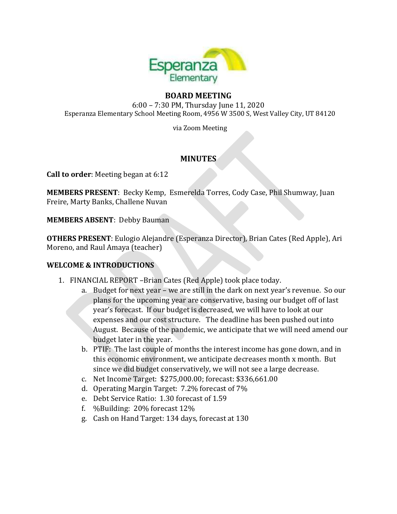

# **BOARD MEETING**

6:00 – 7:30 PM, Thursday June 11, 2020 Esperanza Elementary School Meeting Room, 4956 W 3500 S, West Valley City, UT 84120

via Zoom Meeting

# **MINUTES**

**Call to order**: Meeting began at 6:12

**MEMBERS PRESENT**: Becky Kemp, Esmerelda Torres, Cody Case, Phil Shumway, Juan Freire, Marty Banks, Challene Nuvan

**MEMBERS ABSENT**: Debby Bauman

**OTHERS PRESENT**: Eulogio Alejandre (Esperanza Director), Brian Cates (Red Apple), Ari Moreno, and Raul Amaya (teacher)

# **WELCOME & INTRODUCTIONS**

- 1. FINANCIAL REPORT –Brian Cates (Red Apple) took place today.
	- a. Budget for next year we are still in the dark on next year's revenue. So our plans for the upcoming year are conservative, basing our budget off of last year's forecast. If our budget is decreased, we will have to look at our expenses and our cost structure. The deadline has been pushed out into August. Because of the pandemic, we anticipate that we will need amend our budget later in the year.
	- b. PTIF: The last couple of months the interest income has gone down, and in this economic environment, we anticipate decreases month x month. But since we did budget conservatively, we will not see a large decrease.
	- c. Net Income Target: \$275,000.00; forecast: \$336,661.00
	- d. Operating Margin Target: 7.2% forecast of 7%
	- e. Debt Service Ratio: 1.30 forecast of 1.59
	- f. %Building: 20% forecast 12%
	- g. Cash on Hand Target: 134 days, forecast at 130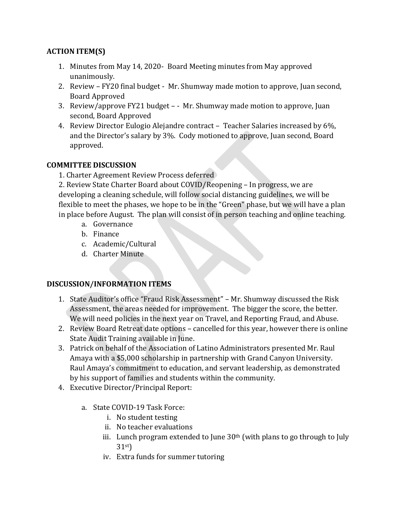# **ACTION ITEM(S)**

- 1. Minutes from May 14, 2020- Board Meeting minutes from May approved unanimously.
- 2. Review FY20 final budget Mr. Shumway made motion to approve, Juan second, Board Approved
- 3. Review/approve FY21 budget - Mr. Shumway made motion to approve, Juan second, Board Approved
- 4. Review Director Eulogio Alejandre contract Teacher Salaries increased by 6%, and the Director's salary by 3%. Cody motioned to approve, Juan second, Board approved.

### **COMMITTEE DISCUSSION**

1. Charter Agreement Review Process deferred

2. Review State Charter Board about COVID/Reopening – In progress, we are developing a cleaning schedule, will follow social distancing guidelines, we will be flexible to meet the phases, we hope to be in the "Green" phase, but we will have a plan in place before August. The plan will consist of in person teaching and online teaching.

- a. Governance
- b. Finance
- c. Academic/Cultural
- d. Charter Minute

#### **DISCUSSION/INFORMATION ITEMS**

- 1. State Auditor's office "Fraud Risk Assessment" Mr. Shumway discussed the Risk Assessment, the areas needed for improvement. The bigger the score, the better. We will need policies in the next year on Travel, and Reporting Fraud, and Abuse.
- 2. Review Board Retreat date options cancelled for this year, however there is online State Audit Training available in June.
- 3. Patrick on behalf of the Association of Latino Administrators presented Mr. Raul Amaya with a \$5,000 scholarship in partnership with Grand Canyon University. Raul Amaya's commitment to education, and servant leadership, as demonstrated by his support of families and students within the community.
- 4. Executive Director/Principal Report:
	- a. State COVID-19 Task Force:
		- i. No student testing
		- ii. No teacher evaluations
		- iii. Lunch program extended to June  $30<sup>th</sup>$  (with plans to go through to July 31st)
		- iv. Extra funds for summer tutoring